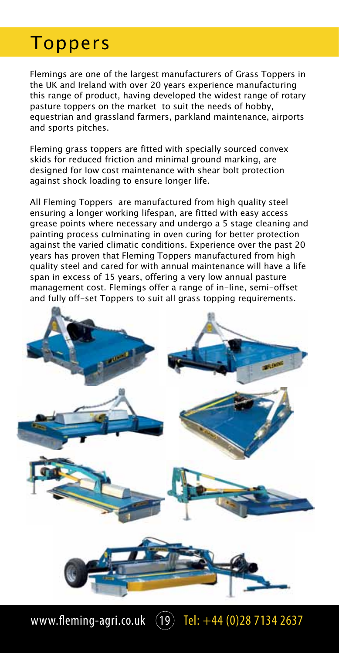Flemings are one of the largest manufacturers of Grass Toppers in the UK and Ireland with over 20 years experience manufacturing this range of product, having developed the widest range of rotary pasture toppers on the market to suit the needs of hobby, equestrian and grassland farmers, parkland maintenance, airports and sports pitches.

Fleming grass toppers are fitted with specially sourced convex skids for reduced friction and minimal ground marking, are designed for low cost maintenance with shear bolt protection against shock loading to ensure longer life.

All Fleming Toppers are manufactured from high quality steel ensuring a longer working lifespan, are fitted with easy access grease points where necessary and undergo a 5 stage cleaning and painting process culminating in oven curing for better protection against the varied climatic conditions. Experience over the past 20 years has proven that Fleming Toppers manufactured from high quality steel and cared for with annual maintenance will have a life span in excess of 15 years, offering a very low annual pasture management cost. Flemings offer a range of in-line, semi-offset and fully off-set Toppers to suit all grass topping requirements.



www.fleming-agri.co.uk  $(19)$  Tel:  $+44$   $(0)$ 28 7134 2637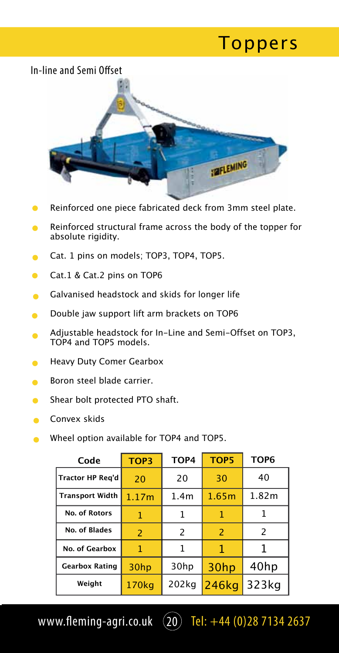

- Reinforced one piece fabricated deck from 3mm steel plate.
- Reinforced structural frame across the body of the topper for  $\bullet$ absolute rigidity.
- Cat. 1 pins on models; TOP3, TOP4, TOP5.
- Cat.1 & Cat.2 pins on TOP6  $\bullet$
- Galvanised headstock and skids for longer life
- Double jaw support lift arm brackets on TOP6  $\blacksquare$
- Adjustable headstock for In-Line and Semi-Offset on TOP3, TOP4 and TOP5 models.
- Heavy Duty Comer Gearbox
- Boron steel blade carrier.
- Shear bolt protected PTO shaft.
- Convex skids
- Wheel option available for TOP4 and TOP5.

| Code                    | TOP3  | TOP4             | <b>TOP5</b>    | TOP <sub>6</sub> |
|-------------------------|-------|------------------|----------------|------------------|
| <b>Tractor HP Reg'd</b> | 20    | 20               | 30             | 40               |
| <b>Transport Width</b>  | 1.17m | 1.4 <sub>m</sub> | 1.65m          | 1.82m            |
| <b>No. of Rotors</b>    | 1     | 1                | 1              |                  |
| No. of Blades           | 2     | $\mathcal{P}$    | $\overline{z}$ | 2                |
| No. of Gearbox          | 1     | 1                | 1              |                  |
| <b>Gearbox Rating</b>   | 30hp  | 30hp             | 30hp           | 40hp             |
| Weight                  | 170kg | 202kg            | 246kg          | 323kg            |

www.fleming-agri.co.uk  $(20)$  Tel: +44 (0)28 7134 2637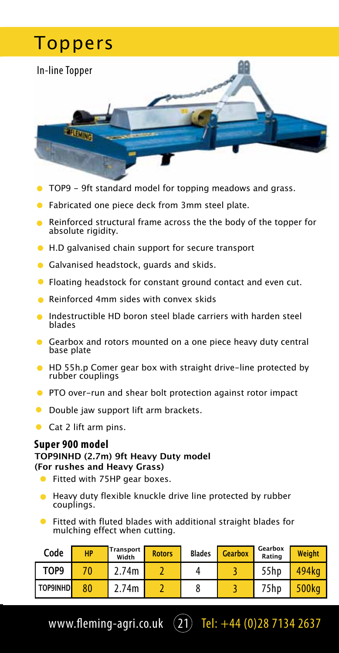

- TOP9 9ft standard model for topping meadows and grass.
- Fabricated one piece deck from 3mm steel plate.
- Reinforced structural frame across the the body of the topper for absolute rigidity.
- H.D galvanised chain support for secure transport
- **Galvanised headstock, quards and skids.**
- Floating headstock for constant ground contact and even cut.
- Reinforced 4mm sides with convex skids
- Indestructible HD boron steel blade carriers with harden steel blades
- Gearbox and rotors mounted on a one piece heavy duty central base plate
- **HD 55h.p Comer gear box with straight drive-line protected by** rubber couplings
- **•** PTO over-run and shear bolt protection against rotor impact
- **O** Double jaw support lift arm brackets.
- Cat 2 lift arm pins.

#### **Super 900 model**

#### **TOP9INHD (2.7m) 9ft Heavy Duty model (For rushes and Heavy Grass)**

- Fitted with 75HP gear boxes.
- **•** Heavy duty flexible knuckle drive line protected by rubber couplings.
- Fitted with fluted blades with additional straight blades for mulching effect when cutting.

| Code        | HP | Transport<br>Width | <b>Rotors</b> | <b>Blades</b> | <b>Gearbox</b> | Gearbox<br>Rating | <b>Weight</b> |
|-------------|----|--------------------|---------------|---------------|----------------|-------------------|---------------|
| TOP9        |    | 2.74m              |               |               |                | 55hp              | 494ka         |
| I TOP9INHDI | 80 | 2.74m              |               | ο             |                | 75hp              | 500kg         |

www.fleming-agri.co.uk  $(21)$  Tel: +44 (0)28 7134 2637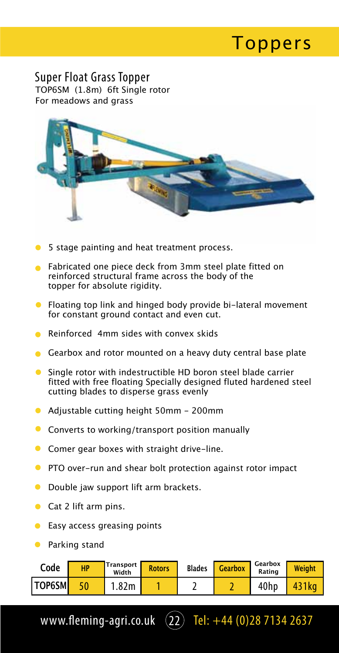Super Float Grass Topper TOP6SM (1.8m) 6ft Single rotor For meadows and grass



- 5 stage painting and heat treatment process.
- **•** Fabricated one piece deck from 3mm steel plate fitted on reinforced structural frame across the body of the topper for absolute rigidity.
- Floating top link and hinged body provide bi-lateral movement for constant ground contact and even cut.
- Reinforced 4mm sides with convex skids
- Gearbox and rotor mounted on a heavy duty central base plate
- Single rotor with indestructible HD boron steel blade carrier fitted with free floating Specially designed fluted hardened steel cutting blades to disperse grass evenly
- Adjustable cutting height 50mm 200mm
- **Converts to working/transport position manually**
- **Comer gear boxes with straight drive-line.**
- **PTO** over-run and shear bolt protection against rotor impact
- **O** Double jaw support lift arm brackets.
- $\bullet$  Cat 2 lift arm pins.
- **Easy access greasing points**
- **•** Parking stand

| Code          | <b>HP</b> | <b>Transport</b><br>Width | <b>Rotors</b> | <b>Blades</b> | <b>Gearbox</b> | Gearbox<br>Rating | <b>Weight</b> |
|---------------|-----------|---------------------------|---------------|---------------|----------------|-------------------|---------------|
| <b>TOP6SM</b> |           | .82m                      |               |               |                | 40hp              | 431ka         |

www.fleming-agri.co.uk  $(22)$  Tel: +44 (0)28 7134 2637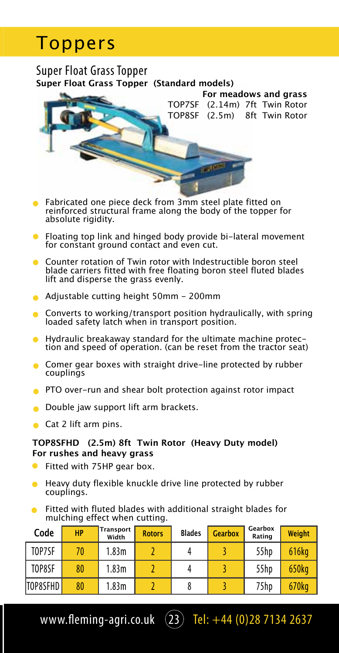#### Super Float Grass Topper **Super Float Grass Topper (Standard models)**



- **•** Fabricated one piece deck from 3mm steel plate fitted on reinforced structural frame along the body of the topper for absolute rigidity.
- Floating top link and hinged body provide bi-lateral movement for constant ground contact and even cut.
- **Counter rotation of Twin rotor with Indestructible boron steel** blade carriers fitted with free floating boron steel fluted blades lift and disperse the grass evenly.
- Adjustable cutting height 50mm 200mm
- Converts to working/transport position hydraulically, with spring loaded safety latch when in transport position.
- Hydraulic breakaway standard for the ultimate machine protection and speed of operation. (can be reset from the tractor seat)
- **Comer gear boxes with straight drive-line protected by rubber** couplings
- **PTO** over-run and shear bolt protection against rotor impact
- Double jaw support lift arm brackets.
- Cat 2 lift arm pins.

#### **TOP8SFHD (2.5m) 8ft Twin Rotor (Heavy Duty model) For rushes and heavy grass**

- **•** Fitted with 75HP gear box.
- **•** Heavy duty flexible knuckle drive line protected by rubber couplings.
- **•** Fitted with fluted blades with additional straight blades for mulching effect when cutting.

| Code     | <b>HP</b> | Transport<br>Width | <b>Rotors</b> | <b>Blades</b> | <b>Gearbox</b> | Gearbox<br>Rating | Weight |
|----------|-----------|--------------------|---------------|---------------|----------------|-------------------|--------|
| TOP7SF   | 70        | 1.83m              |               |               |                | 55hp              | 616kg  |
| TOP8SF   | 80        | 1.83m              |               |               |                | 55hp              | 650kg  |
| TOP8SFHD | 80        | 1.83m              |               |               |                | 75hp              | 670kg  |

www.fleming-agri.co.uk  $(23)$  Tel: +44 (0)28 7134 2637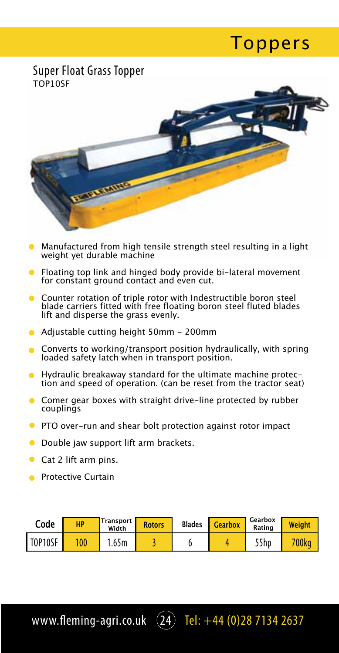#### Super Float Grass Topper TOP10SF



- Manufactured from high tensile strength steel resulting in a light weight yet durable machine
- **•** Floating top link and hinged body provide bi-lateral movement for constant ground contact and even cut.
- **Counter rotation of triple rotor with Indestructible boron steel** blade carriers fitted with free floating boron steel fluted blades lift and disperse the grass evenly.
- Adjustable cutting height 50mm 200mm
- Converts to working/transport position hydraulically, with spring loaded safety latch when in transport position.
- Hydraulic breakaway standard for the ultimate machine protection and speed of operation. (can be reset from the tractor seat)
- **Comer gear boxes with straight drive-line protected by rubber** couplings
- **PTO over-run and shear bolt protection against rotor impact**
- **O** Double jaw support lift arm brackets.
- Cat 2 lift arm pins.
- **Protective Curtain**

| Code    | HP | Transport<br>Width | <b>Rotors</b> | <b>Blades</b> | Gearbox | Gearbox<br>Rating | Weight   |
|---------|----|--------------------|---------------|---------------|---------|-------------------|----------|
| TOP10SF |    | 1.65m              |               |               |         | 55hp              | $700$ kg |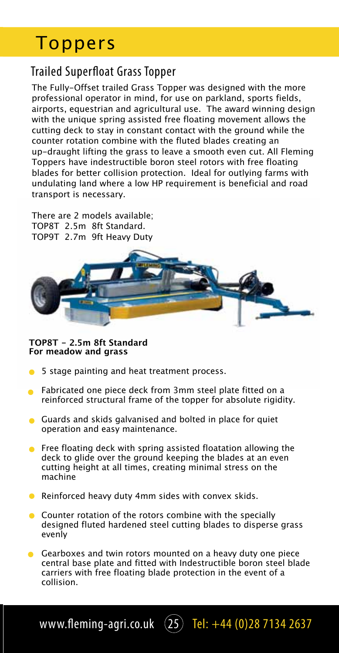### Trailed Superfloat Grass Topper

The Fully-Offset trailed Grass Topper was designed with the more professional operator in mind, for use on parkland, sports fields, airports, equestrian and agricultural use. The award winning design with the unique spring assisted free floating movement allows the cutting deck to stay in constant contact with the ground while the counter rotation combine with the fluted blades creating an up-draught lifting the grass to leave a smooth even cut. All Fleming Toppers have indestructible boron steel rotors with free floating blades for better collision protection. Ideal for outlying farms with undulating land where a low HP requirement is beneficial and road transport is necessary.

There are 2 models available; TOP8T 2.5m 8ft Standard. TOP9T 2.7m 9ft Heavy Duty



#### **TOP8T - 2.5m 8ft Standard For meadow and grass**

- $\bullet$ 5 stage painting and heat treatment process.
- **•** Fabricated one piece deck from 3mm steel plate fitted on a reinforced structural frame of the topper for absolute rigidity.
- Guards and skids galvanised and bolted in place for quiet operation and easy maintenance.
- **•** Free floating deck with spring assisted floatation allowing the deck to glide over the ground keeping the blades at an even cutting height at all times, creating minimal stress on the machine
- Reinforced heavy duty 4mm sides with convex skids.
- **Counter rotation of the rotors combine with the specially** designed fluted hardened steel cutting blades to disperse grass evenly
- Gearboxes and twin rotors mounted on a heavy duty one piece central base plate and fitted with Indestructible boron steel blade carriers with free floating blade protection in the event of a collision.

www.fleming-agri.co.uk  $(25)$  Tel: +44 (0)28 7134 2637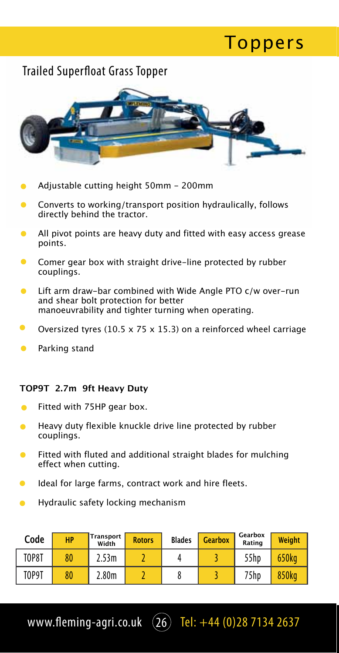#### Trailed Superfloat Grass Topper



**Toppers** 

- Adjustable cutting height 50mm 200mm
- Converts to working/transport position hydraulically, follows directly behind the tractor.
- All pivot points are heavy duty and fitted with easy access grease points.
- Comer gear box with straight drive-line protected by rubber couplings.
- $\bullet$ Lift arm draw-bar combined with Wide Angle PTO c/w over-run and shear bolt protection for better manoeuvrability and tighter turning when operating.
- Oversized tyres (10.5 x 75 x 15.3) on a reinforced wheel carriage
- Parking stand

#### **TOP9T 2.7m 9ft Heavy Duty**

- Fitted with 75HP gear box.  $\triangle$
- Heavy duty flexible knuckle drive line protected by rubber couplings.
- Fitted with fluted and additional straight blades for mulching effect when cutting.
- Ideal for large farms, contract work and hire fleets.
- Hydraulic safety locking mechanism

| Code         | <b>HP</b> | Transport<br>Width | <b>Rotors</b> | <b>Blades</b> | <b>Gearbox</b> | Gearbox<br>Rating | Weight |
|--------------|-----------|--------------------|---------------|---------------|----------------|-------------------|--------|
| <b>TOP8T</b> | 80        | 2.53m              |               |               |                | 55hp              | 650kg  |
| TOP9T        | 80        | 2.80 <sub>m</sub>  |               |               |                | 75hp              | 850kg  |